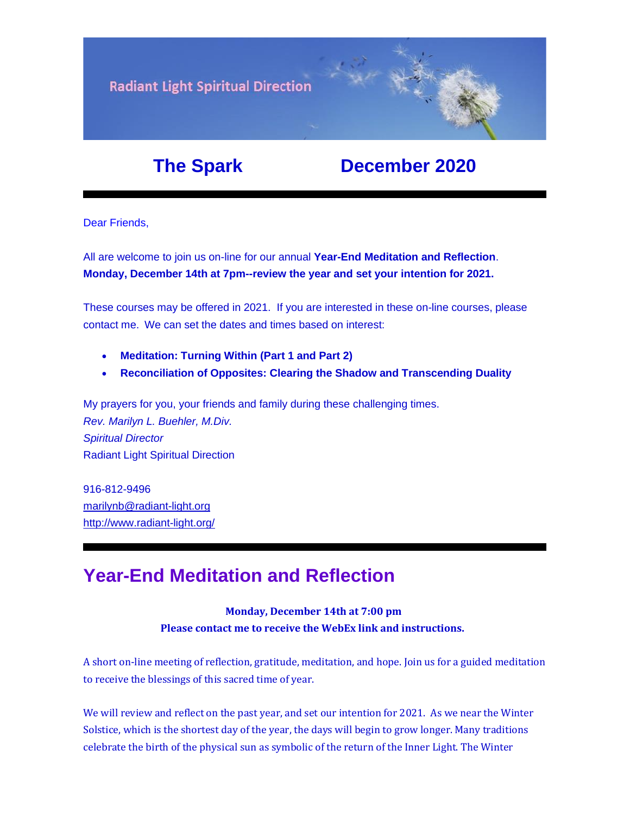

# **The Spark December 2020**

Dear Friends,

All are welcome to join us on-line for our annual **[Year-End Meditation and Reflection](https://u18544456.ct.sendgrid.net/ls/click?upn=YO6TcuTs2Xz6NlJVKcEQZiklIDFGo-2FRGaP7ZnccBbQCzADChL1MeDUg0eIv3d-2BhHhPis-2BLE03cEOzJb6QuL0cg-3D-3D7Yty_FiQrYGg1YZElR924caalGEP3AHGeF79ulf5jxC9Fbcd8IfoR4p2-2FW0xZvJaX6Y3z75H0Yw3uGmHJTH3azVPJ5HTXrZ-2Ft5OVM5Vv31JFvUf3sl-2Bt2VvZL3mo9-2FDK3jGCpxIIPYsmfDGh-2FAbSr3lQbsNR7Uw0rlNMI7tLLUBMUEHkO4TbrXMT2XDwt8M8Z0EQyFaM58VndTkF8A-2FE9cHIRm390xEoBIxj3BX44P0v67krgkgpb7b5Uqctmup2WkPriyrd704C3bdE1vxujanDFFE1eA1oVBEJG2-2FSG3GejR0K0GrwT3CB-2BgO-2BHsIHijOk65k18I0e5u4i5XpBpJl14pqBAbX35xcSAJ1DViWzVD78A3I88G8uMt60ogQllBK4FTgF9chiusUMQoMRTXD-2FMrUqfRDQZEGiNDtlTBzhhDPCjIunGXXYB7GASNM0lWfvWh1IHbN7pdXjlYiFvjkprRuOuqmek2W2hzk0L4wHNPAekpnzPh56ObbW7RdnC7NojC8X8kdl3HMEKdPmvFqeL0-2FcCchfzMd3zWYQiY-2BFn2fcY39h1QzVEVxfa1jgtoTK-2B4ba0JOlbmls7yrTgXqXD6UYoJ0xTTCF5PbwNIJFWm3z1aWDqeGKgkNxlsp7DWVBbjvz4-2Fd8NV4ACQkaIskERWmej75UQlojNofqfNhP2YYx103bWesbjAG368lWptIGPO36K4IkZ7Y6oasYwmaEIRChM-2BQKgTPvXp5Hr-2BzQNK9jLtEJAUFLbUNVpwW-2FgzK5sAh7KXu3mJDU-2FTz2gS64Hb2MY5Bjpzyc-2BHuxWrZcbkX2xERcjcm7gmEOPwiUQvSXxijbZ2MG-2BMHk6VcGHfzkmk-2BNzdmN-2F0OKH-2BqMLUCjMlS38lUgIJrQPl3z6Q83QZZGB)**. **Monday, December 14th at 7pm--review the year and set your intention for 2021.**

These courses may be offered in 2021. If you are interested in these on-line courses, please contact me. We can set the dates and times based on interest:

- **Meditation: Turning Within (Part 1 and Part 2)**
- **[Reconciliation of Opposites: Clearing the Shadow and Transcending Duality](https://u18544456.ct.sendgrid.net/ls/click?upn=YO6TcuTs2Xz6NlJVKcEQZiklIDFGo-2FRGaP7ZnccBbQBGusmZfNmfWP2-2F0bS7gDEvg7s-2FT-2FketP1vrwJqVOk03W8vVkbj2WqZ2HvU-2F4FbrkY-3DB8NN_FiQrYGg1YZElR924caalGEP3AHGeF79ulf5jxC9Fbcd8IfoR4p2-2FW0xZvJaX6Y3z75H0Yw3uGmHJTH3azVPJ5HTXrZ-2Ft5OVM5Vv31JFvUf3sl-2Bt2VvZL3mo9-2FDK3jGCpxIIPYsmfDGh-2FAbSr3lQbsNR7Uw0rlNMI7tLLUBMUEHkO4TbrXMT2XDwt8M8Z0EQyFaM58VndTkF8A-2FE9cHIRm390xEoBIxj3BX44P0v67krgkgpb7b5Uqctmup2WkPriyrd704C3bdE1vxujanDFFE1eA1oVBEJG2-2FSG3GejR0K0GrwT3CB-2BgO-2BHsIHijOk65k18I0e5u4i5XpBpJl14pqBAbX35xcSAJ1DViWzVD78A3I88G8uMt60ogQllBK4FTgF9chiusUMQoMRTXD-2FMrUqfRDQZEGiNDtlTBzhhDPCjIunGXXYB7GASNM0lWfvWh1IHbN7pdXjlYiFvjkprRuOuqmek2W2hzk0L4wHNPAekpnzPh56ObbW7RdnC7NojC8X8kdl3HMEKdPmvFqeL0-2FcCchfzMd3zWYQiY-2BFn2fcY39h1QzVEVxfa1jgtoTK-2B4ba0JOlbmls7yrTgXqXD6UYoJ0xTTCF5PbwNIJFWm3z1aWDqeGKgkNxlsp7DWVBbjvz4-2Fd8NV4ACQkaIskERWmej75UQlojNofqfNhP2YYx103bWesbjAG368lWptIGPO36K4IkZ7Y6oasYwmaEIRLX07KwTMThUoWRaadycuXBdwudgyWwkM2lz6-2FMTu3OZTauDNSDOJv-2FBTOzkVp4Jj7Rf6DKuz7s3PU3Yc13rMr2LlerZYLasrAg5eCwhFlm9aQLa16by6BUiFEmAlOXJ-2BexocI7C15RDWy7AEsp7oDPnWp3kOOXO1sQV-2F-2B89nYgA)**

My prayers for you, your friends and family during these challenging times. *Rev. Marilyn L. Buehler, M.Div. Spiritual Director* Radiant Light Spiritual Direction

916-812-9496 [marilynb@radiant-light.org](mailto:marilynb@radiant-light.org) [http://www.radiant-light.org/](https://u18544456.ct.sendgrid.net/ls/click?upn=R-2Bl7NGDLiuME3v4KUDXT9h2qnOPi-2Bv0NUDPOAvqgwbSGaV-2BAb3Xm4aVOKtH6HhU9m-2FTXOQwSXWi82XNXQXmW0Ybjzw6tS-2BT4DLdUHTzXugFWK15x1FY1bK6oAs60zDHaycbS_FiQrYGg1YZElR924caalGEP3AHGeF79ulf5jxC9Fbcd8IfoR4p2-2FW0xZvJaX6Y3z75H0Yw3uGmHJTH3azVPJ5HTXrZ-2Ft5OVM5Vv31JFvUf3sl-2Bt2VvZL3mo9-2FDK3jGCpxIIPYsmfDGh-2FAbSr3lQbsNR7Uw0rlNMI7tLLUBMUEHkO4TbrXMT2XDwt8M8Z0EQyFaM58VndTkF8A-2FE9cHIRm390xEoBIxj3BX44P0v67krgkgpb7b5Uqctmup2WkPriyrd704C3bdE1vxujanDFFE1eA1oVBEJG2-2FSG3GejR0K0GrwT3CB-2BgO-2BHsIHijOk65k18I0e5u4i5XpBpJl14pqBAbX35xcSAJ1DViWzVD78A3I88G8uMt60ogQllBK4FTgF9chiusUMQoMRTXD-2FMrUqfRDQZEGiNDtlTBzhhDPCjIunGXXYB7GASNM0lWfvWh1IHbN7pdXjlYiFvjkprRuOuqmek2W2hzk0L4wHNPAekpnzPh56ObbW7RdnC7NojC8X8kdl3HMEKdPmvFqeL0-2FcCchfzMd3zWYQiY-2BFn2fcY39h1QzVEVxfa1jgtoTK-2B4ba0JOlbmls7yrTgXqXD6UYoJ0xTTCF5PbwNIJFWm3z1aWDqeGKgkNxlsp7DWVBbjvz4-2Fd8NV4ACQkaIskERWmej75UQlojNofqfNhP2YYx103bWesbjAG368lWptIGPO36K4IkZ7Y6oasYwmaEIRBNv5GWPJ6H3R70DuOnEJ3EPedLy3afYUCwkRW9oqRic8Zq-2BH9C6DhWQ8p52KrsBRQf5faLnvB6cRy-2F2fCwue4sXMVWaxjZnEfXra2ggRSt4TZM4cLiLkVxGBhmbYuvflpMoASoWwlR7EhloIL4k5ru6Nse-2FAOc6izndz3nK26vd)

# **Year-End Meditation and Reflection**

#### **Monday, December 14th at 7:00 pm Please contact me to receive the WebEx link and instructions.**

A short on-line meeting of reflection, gratitude, meditation, and hope. Join us for a guided meditation to receive the blessings of this sacred time of year.

We will review and reflect on the past year, and set our intention for 2021. As we near the Winter Solstice, which is the shortest day of the year, the days will begin to grow longer. Many traditions celebrate the birth of the physical sun as symbolic of the return of the Inner Light. The Winter